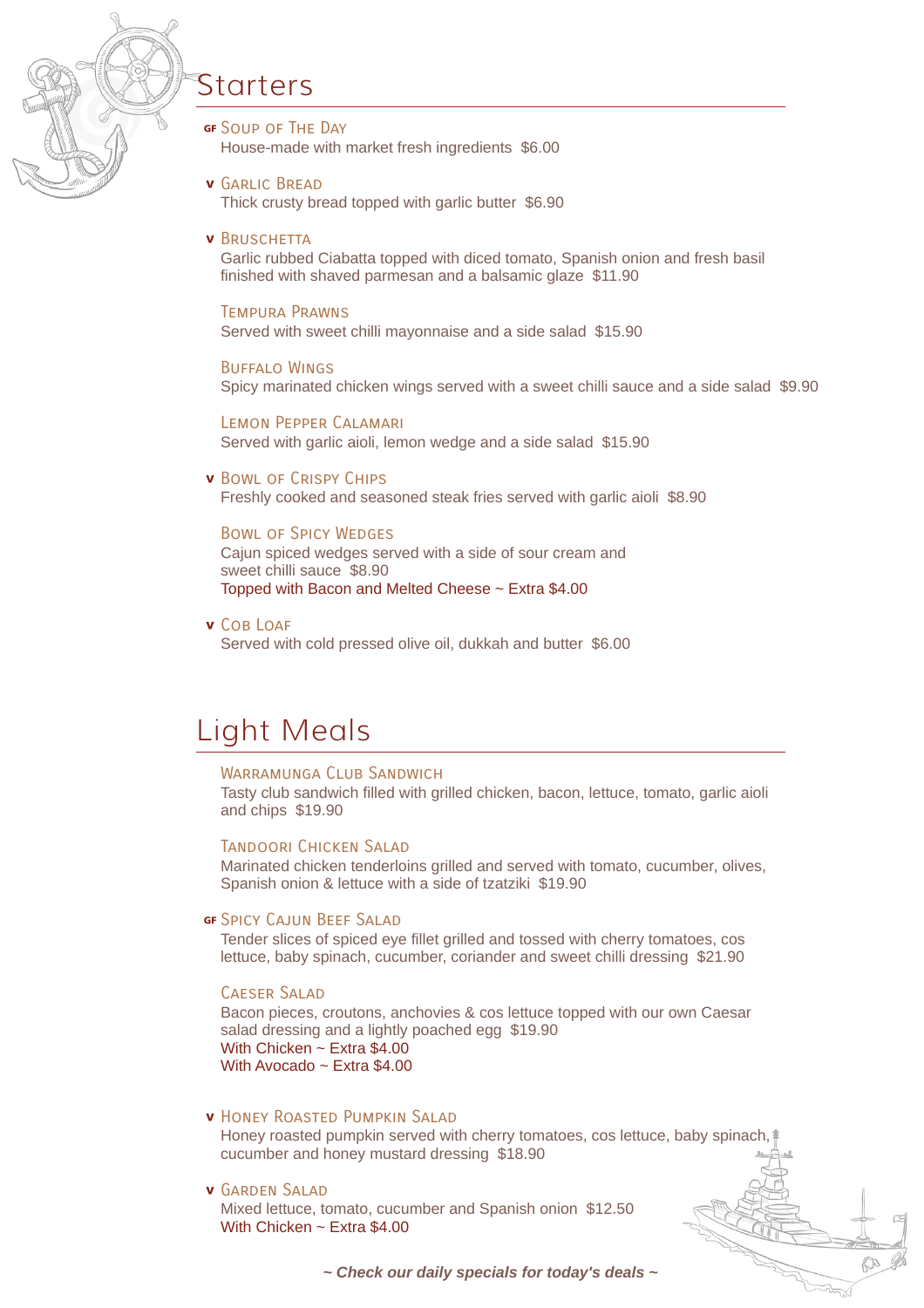

## Starters

- GF SOUP OF THE DAY House-made with market fresh ingredients \$6.00
- **v** GARLIC BREAD Thick crusty bread topped with garlic butter \$6.90

#### **v** BRUSCHETTA

Garlic rubbed Ciabatta topped with diced tomato, Spanish onion and fresh basil finished with shaved parmesan and a balsamic glaze \$11.90

Tempura Prawns Served with sweet chilli mayonnaise and a side salad \$15.90

Buffalo Wings Spicy marinated chicken wings served with a sweet chilli sauce and a side salad \$9.90

Lemon Pepper Calamari Served with garlic aioli, lemon wedge and a side salad \$15.90

#### **v** Bowl of Crispy Chips

Freshly cooked and seasoned steak fries served with garlic aioli \$8.90

#### Bowl of Spicy Wedges

Cajun spiced wedges served with a side of sour cream and sweet chilli sauce \$8.90 Topped with Bacon and Melted Cheese ~ Extra \$4.00

v Cob Loaf

Served with cold pressed olive oil, dukkah and butter \$6.00

## Light Meals

#### WARRAMUNGA CLUB SANDWICH

Tasty club sandwich filled with grilled chicken, bacon, lettuce, tomato, garlic aioli and chips \$19.90

#### Tandoori Chicken Salad

Marinated chicken tenderloins grilled and served with tomato, cucumber, olives, Spanish onion & lettuce with a side of tzatziki \$19.90

#### **GF SPICY CAJUN BEEF SALAD**

Tender slices of spiced eye fillet grilled and tossed with cherry tomatoes, cos lettuce, baby spinach, cucumber, coriander and sweet chilli dressing \$21.90

#### Caeser Salad

Bacon pieces, croutons, anchovies & cos lettuce topped with our own Caesar salad dressing and a lightly poached egg \$19.90 With Chicken ~ Extra \$4.00 With Avocado ~ Extra \$4.00

### **v HONEY ROASTED PUMPKIN SALAD**

Honey roasted pumpkin served with cherry tomatoes, cos lettuce, baby spinach, cucumber and honey mustard dressing \$18.90

## v GARDEN SALAD

Mixed lettuce, tomato, cucumber and Spanish onion \$12.50 With Chicken ~ Extra \$4.00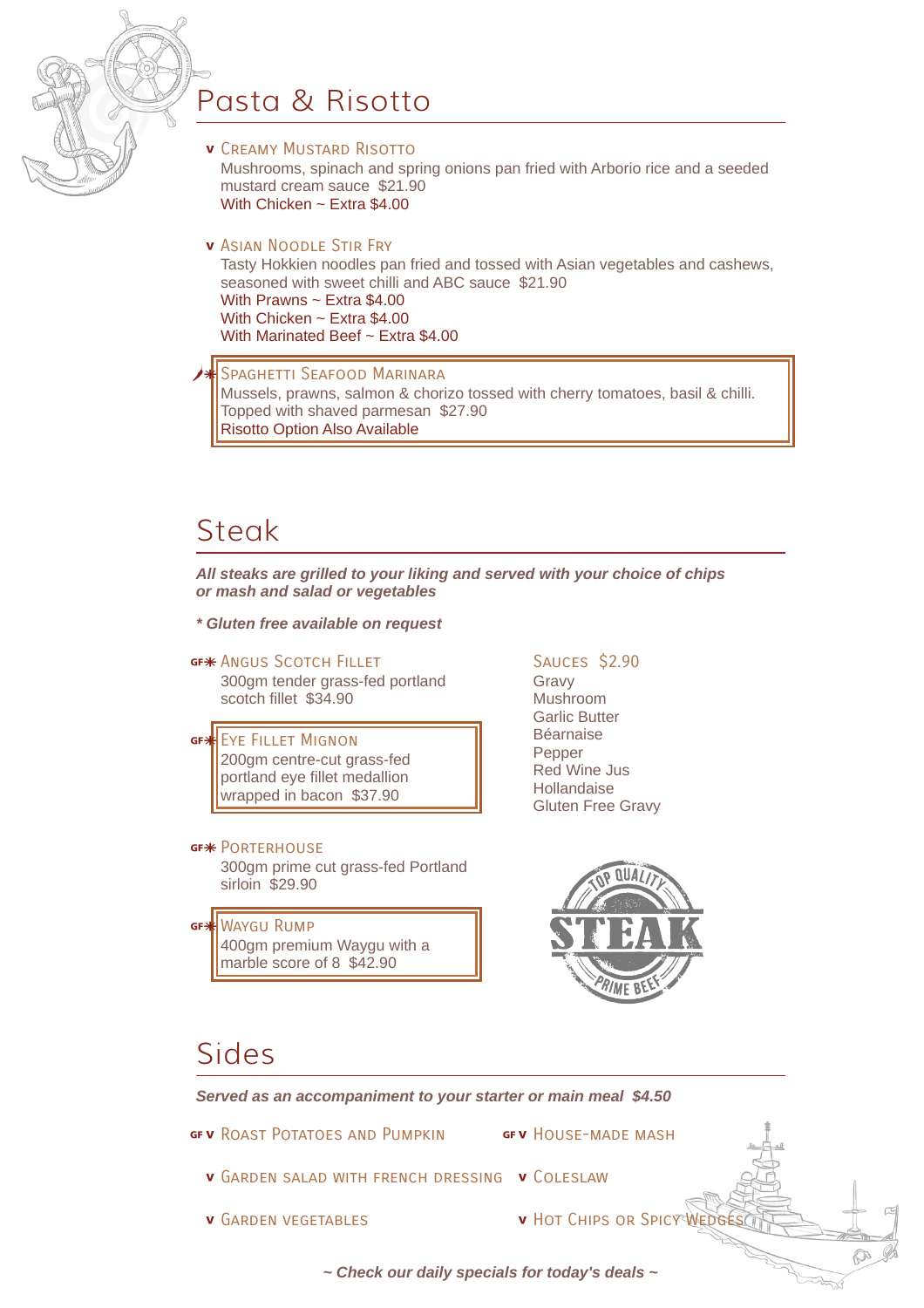

# Pasta & Risotto

- **v** Creamy Mustard Risotto Mushrooms, spinach and spring onions pan fried with Arborio rice and a seeded mustard cream sauce \$21.90 With Chicken ~ Extra \$4.00
- **v** Asian Noodle Stir Fry

Tasty Hokkien noodles pan fried and tossed with Asian vegetables and cashews, seasoned with sweet chilli and ABC sauce \$21.90 With Prawns ~ Extra \$4.00 With Chicken ~ Extra \$4.00 With Marinated Beef ~ Extra \$4.00

SPAGHETTI SEAFOOD MARINARA Mussels, prawns, salmon & chorizo tossed with cherry tomatoes, basil & chilli. Topped with shaved parmesan \$27.90 Risotto Option Also Available

## **Steak**

*All steaks are grilled to your liking and served with your choice of chips or mash and salad or vegetables*

*\* Gluten free available on request*

## GF\* ANGUS SCOTCH FILLET

300gm tender grass-fed portland scotch fillet \$34.90

GF<sup>\*</sup>EYE FILLET MIGNON 200gm centre-cut grass-fed portland eye fillet medallion wrapped in bacon \$37.90

## GF<sup>\*</sup> PORTERHOUSE

300gm prime cut grass-fed Portland sirloin \$29.90

GF<sup>3</sup> WAYGU RUMP 400gm premium Waygu with a marble score of 8 \$42.90

## Sauces \$2.90

Gravy Mushroom Garlic Butter Béarnaise Pepper Red Wine Jus Hollandaise Gluten Free Gravy



## Sides

*Served as an accompaniment to your starter or main meal \$4.50*

GFV ROAST POTATOES AND PUMPKIN ... GFV HOUSE-MADE MASH

- 
- **v** GARDEN SALAD WITH FRENCH DRESSING **v** COLESLAW
- 
- **v** Garden vegetables **\* v** Hot Chips or Spicy Wedges

250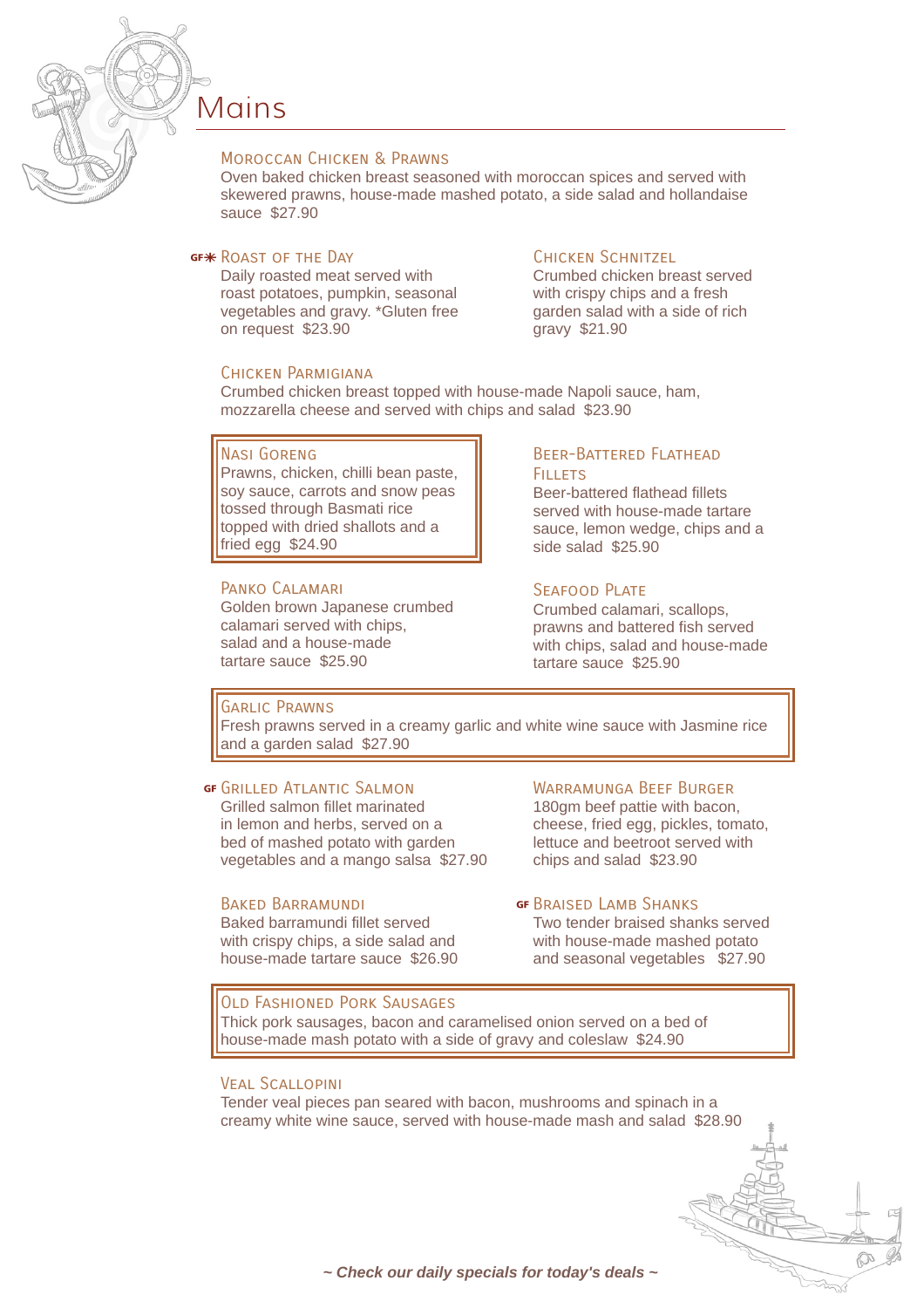

## Mains

#### Moroccan Chicken & Prawns

Oven baked chicken breast seasoned with moroccan spices and served with skewered prawns, house-made mashed potato, a side salad and hollandaise sauce \$27.90

#### GF<sup>\*</sup> ROAST OF THE DAY

Daily roasted meat served with roast potatoes, pumpkin, seasonal vegetables and gravy. \*Gluten free on request \$23.90

#### Chicken Schnitzel

Crumbed chicken breast served with crispy chips and a fresh garden salad with a side of rich gravy \$21.90

Crumbed chicken breast topped with house-made Napoli sauce, ham, mozzarella cheese and served with chips and salad \$23.90

#### Nasi Goreng

Chicken Parmigiana

Prawns, chicken, chilli bean paste, soy sauce, carrots and snow peas tossed through Basmati rice topped with dried shallots and a fried egg \$24.90

#### Panko Calamari

Golden brown Japanese crumbed calamari served with chips, salad and a house-made tartare sauce \$25.90

#### Beer-Battered Flathead Fill FTS

Beer-battered flathead fillets served with house-made tartare sauce, lemon wedge, chips and a side salad \$25.90

#### SFAFOOD PLATE

Crumbed calamari, scallops, prawns and battered fish served with chips, salad and house-made tartare sauce \$25.90

### Garlic Prawns

Fresh prawns served in a creamy garlic and white wine sauce with Jasmine rice and a garden salad \$27.90

#### **GF GRILLED ATLANTIC SALMON**

Grilled salmon fillet marinated in lemon and herbs, served on a bed of mashed potato with garden vegetables and a mango salsa \$27.90

#### Baked Barramundi

Baked barramundi fillet served with crispy chips, a side salad and house-made tartare sauce \$26.90

## Warramunga Beef Burger

180am beef pattie with bacon. cheese, fried egg, pickles, tomato, lettuce and beetroot served with chips and salad \$23.90

#### **GF BRAISED LAMB SHANKS**

Two tender braised shanks served with house-made mashed potato and seasonal vegetables \$27.90

#### Old Fashioned Pork Sausages

Thick pork sausages, bacon and caramelised onion served on a bed of house-made mash potato with a side of gravy and coleslaw \$24.90

### Veal Scallopini

Tender veal pieces pan seared with bacon, mushrooms and spinach in a creamy white wine sauce, served with house-made mash and salad \$28.90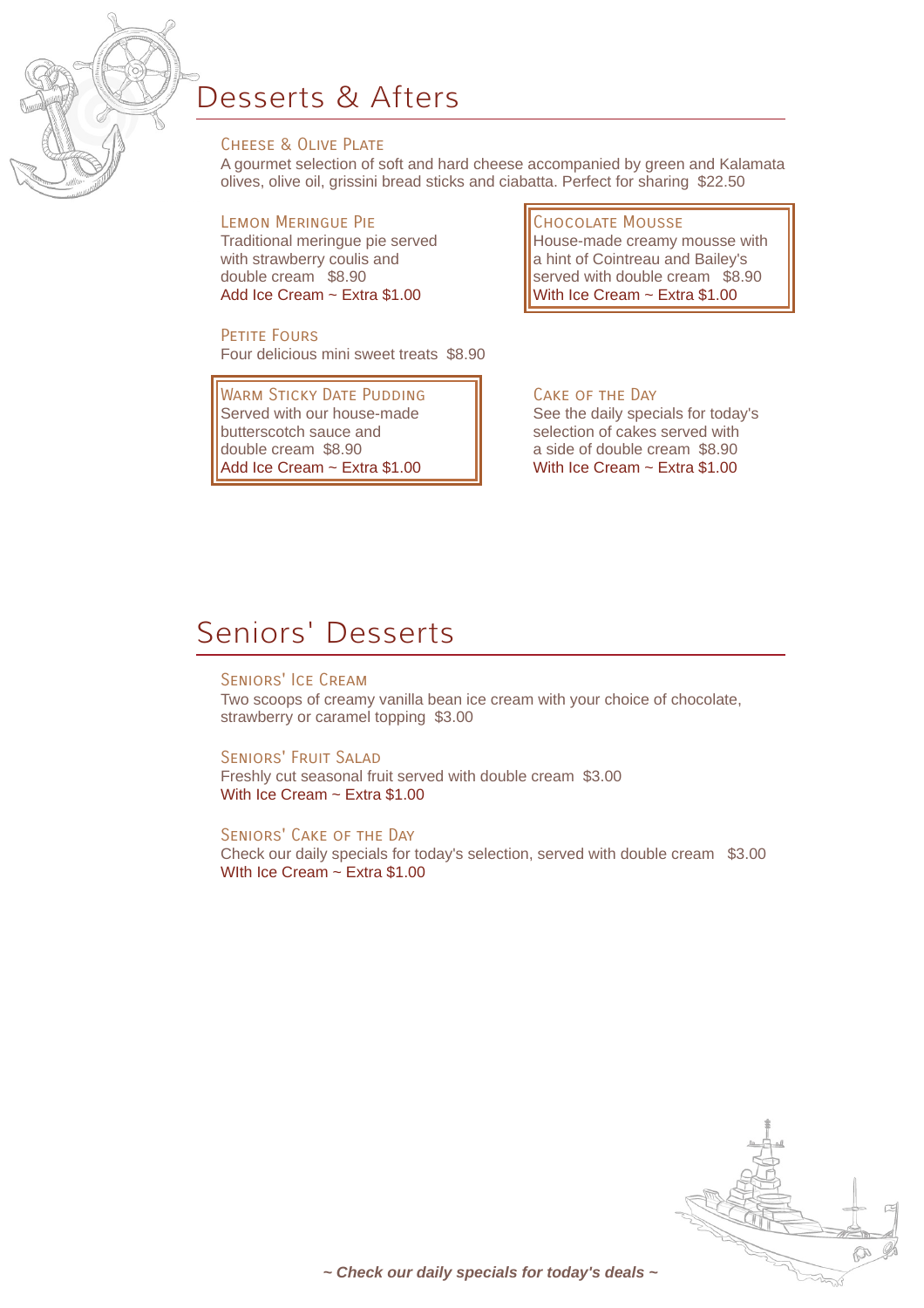

# Desserts & Afters

## Cheese & Olive Plate

A gourmet selection of soft and hard cheese accompanied by green and Kalamata olives, olive oil, grissini bread sticks and ciabatta. Perfect for sharing \$22.50

## Lemon Meringue Pie

Traditional meringue pie served with strawberry coulis and double cream \$8.90 Add Ice Cream ~ Extra \$1.00

## PETITE FOURS

Four delicious mini sweet treats \$8.90

WARM STICKY DATE PUDDING Served with our house-made butterscotch sauce and double cream \$8.90 Add Ice Cream ~ Extra \$1.00

#### Chocolate Mousse

House-made creamy mousse with a hint of Cointreau and Bailey's served with double cream \$8.90 With Ice Cream ~ Extra \$1.00

## Cake of the Day

See the daily specials for today's selection of cakes served with a side of double cream \$8.90 With Ice Cream ~ Extra \$1.00

# Seniors' Desserts

## Seniors' Ice Cream

Two scoops of creamy vanilla bean ice cream with your choice of chocolate, strawberry or caramel topping \$3.00

#### Seniors' Fruit Salad

Freshly cut seasonal fruit served with double cream \$3.00 With Ice Cream ~ Extra \$1.00

#### Seniors' Cake of the Day

Check our daily specials for today's selection, served with double cream \$3.00 WIth Ice Cream ~ Extra \$1.00